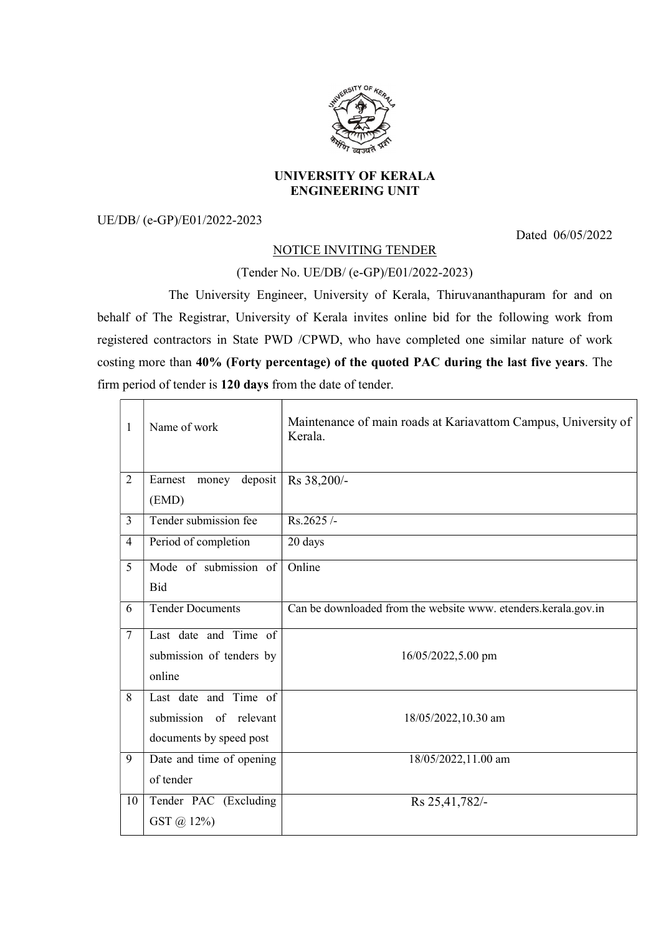

## UNIVERSITY OF KERALA ENGINEERING UNIT

## UE/DB/ (e-GP)/E01/2022-2023

Dated 06/05/2022

## NOTICE INVITING TENDER

## (Tender No. UE/DB/ (e-GP)/E01/2022-2023)

 The University Engineer, University of Kerala, Thiruvananthapuram for and on behalf of The Registrar, University of Kerala invites online bid for the following work from registered contractors in State PWD /CPWD, who have completed one similar nature of work costing more than 40% (Forty percentage) of the quoted PAC during the last five years. The firm period of tender is 120 days from the date of tender.

| $\mathbf{1}$   | Name of work                                                               | Maintenance of main roads at Kariavattom Campus, University of<br>Kerala. |
|----------------|----------------------------------------------------------------------------|---------------------------------------------------------------------------|
| $\overline{2}$ | Earnest money deposit<br>(EMD)                                             | Rs 38,200/-                                                               |
| $\overline{3}$ | Tender submission fee                                                      | $Rs.2625/-$                                                               |
| $\overline{4}$ | Period of completion                                                       | 20 days                                                                   |
| 5              | Mode of submission of<br><b>Bid</b>                                        | Online                                                                    |
| 6              | <b>Tender Documents</b>                                                    | Can be downloaded from the website www. etenders.kerala.gov.in            |
| $\overline{7}$ | Last date and Time of<br>submission of tenders by<br>online                | 16/05/2022,5.00 pm                                                        |
| 8              | Last date and Time of<br>submission of relevant<br>documents by speed post | 18/05/2022,10.30 am                                                       |
| 9              | Date and time of opening<br>of tender                                      | 18/05/2022,11.00 am                                                       |
| 10             | Tender PAC (Excluding<br>GST @ 12%)                                        | Rs 25,41,782/-                                                            |